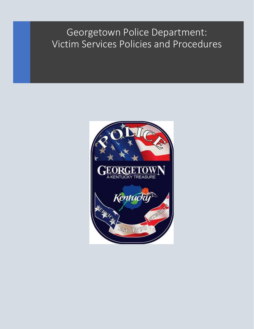# Georgetown Police Department: Victim Services Policies and Procedures

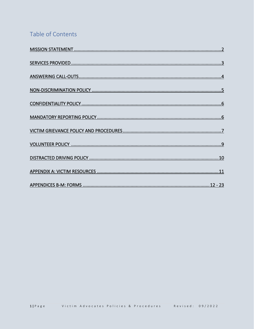# Table of Contents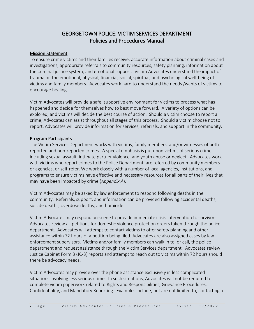# GEORGETOWN POLICE: VICTIM SERVICES DEPARTMENT Policies and Procedures Manual

#### Mission Statement

To ensure crime victims and their families receive: accurate information about criminal cases and investigations, appropriate referrals to community resources, safety planning, information about the criminal justice system, and emotional support. Victim Advocates understand the impact of trauma on the emotional, physical, financial, social, spiritual, and psychological well-being of victims and family members. Advocates work hard to understand the needs /wants of victims to encourage healing.

Victim Advocates will provide a safe, supportive environment for victims to process what has happened and decide for themselves how to best move forward. A variety of options can be explored, and victims will decide the best course of action. Should a victim choose to report a crime, Advocates can assist throughout all stages of this process. Should a victim choose not to report, Advocates will provide information for services, referrals, and support in the community.

#### Program Participants

The Victim Services Department works with victims, family members, and/or witnesses of both reported and non-reported crimes. A special emphasis is put upon victims of serious crime including sexual assault, intimate partner violence, and youth abuse or neglect. Advocates work with victims who report crimes to the Police Department, are referred by community members or agencies, or self-refer. We work closely with a number of local agencies, institutions, and programs to ensure victims have effective and necessary resources for all parts of their lives that may have been impacted by crime (*Appendix A*).

Victim Advocates may be asked by law enforcement to respond following deaths in the community. Referrals, support, and information can be provided following accidental deaths, suicide deaths, overdose deaths, and homicide.

Victim Advocates may respond on-scene to provide immediate crisis intervention to survivors. Advocates review all petitions for domestic violence protection orders taken through the police department. Advocates will attempt to contact victims to offer safety planning and other assistance within 72 hours of a petition being filed. Advocates are also assigned cases by law enforcement supervisors. Victims and/or family members can walk in to, or call, the police department and request assistance through the Victim Services department. Advocates review Justice Cabinet Form 3 (JC-3) reports and attempt to reach out to victims within 72 hours should there be advocacy needs.

Victim Advocates may provide over the phone assistance exclusively in less complicated situations involving less serious crime. In such situations, Advocates will not be required to complete victim paperwork related to Rights and Responsibilities, Grievance Procedures, Confidentiality, and Mandatory Reporting. Examples include, but are not limited to, contacting a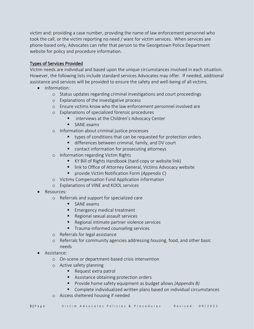victim and: providing a case number, providing the name of law enforcement personnel who took the call, or the victim reporting no need / want for victim services. When services are phone-based only, Advocates can refer that person to the Georgetown Police Department website for policy and procedure information.

#### Types of Services Provided

Victim needs are individual and based upon the unique circumstances involved in each situation. However, the following lists include standard services Advocates may offer. If needed, additional assistance and services will be provided to ensure the safety and well-being of all victims.

- Information:
	- o Status updates regarding criminal investigations and court proceedings
	- o Explanations of the investigative process
	- o Ensure victims know who the law enforcement personnel involved are
	- o Explanations of specialized forensic procedures
		- interviews at the Children's Advocacy Center
		- SANF exams
	- o Information about criminal justice processes
		- types of conditions that can be requested for protection orders
		- differences between criminal, family, and DV court
		- contact information for prosecuting attorneys
	- o Information regarding Victim Rights
		- KY Bill of Rights Handbook (hard copy or website link)
		- link to Office of Attorney General, Victims Advocacy website
		- provide Victim Notification Form (*Appendix C*)
	- o Victims Compensation Fund Application information
	- o Explanations of VINE and KOOL services
- Resources:
	- o Referrals and support for specialized care
		- SANE exams
		- **Emergency medical treatment**
		- Regional sexual assault services
		- Regional intimate partner violence services
		- **■** Trauma-informed counseling services
	- o Referrals for legal assistance
	- o Referrals for community agencies addressing housing, food, and other basic needs
- Assistance:
	- o On-scene or department-based crisis intervention
	- o Active safety planning
		- Request extra patrol
		- Assistance obtaining protection orders
		- Provide home safety equipment as budget allows *(Appendix B)*
		- Complete individualized written plans based on individual circumstances
	- o Access sheltered housing if needed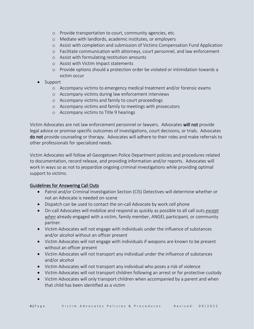- o Provide transportation to court, community agencies, etc.
- o Mediate with landlords, academic institutes, or employers
- o Assist with completion and submission of Victims Compensation Fund Application
- o Facilitate communication with attorneys, court personnel, and law enforcement
- o Assist with formulating restitution amounts
- o Assist with Victim Impact statements
- o Provide options should a protection order be violated or intimidation towards a victim occur
- Support
	- o Accompany victims to emergency medical treatment and/or forensic exams
	- o Accompany victims during law enforcement interviews
	- o Accompany victims and family to court proceedings
	- o Accompany victims and family to meetings with prosecutors
	- o Accompany victims to Title 9 hearings

Victim Advocates are not law enforcement personnel or lawyers. Advocates will not provide legal advice or promise specific outcomes of investigations, court decisions, or trials. Advocates do not provide counseling or therapy. Advocates will adhere to their roles and make referrals to other professionals for specialized needs.

Victim Advocates will follow all Georgetown Police Department policies and procedures related to documentation, record release, and providing information and/or reports. Advocates will work in ways so as not to jeopardize ongoing criminal investigations while providing optimal support to victims.

# Guidelines for Answering Call Outs

- Patrol and/or Criminal Investigation Section (CIS) Detectives will determine whether or not an Advocate is needed on-scene
- Dispatch can be used to contact the on-call Advocate by work cell phone
- On-call Advocates will mobilize and respond as quickly as possible to all call outs *except when* already engaged with a victim, family member, ANGEL participant, or community partner.
- Victim Advocates will not engage with individuals under the influence of substances and/or alcohol without an officer present
- Victim Advocates will not engage with individuals if weapons are known to be present without an officer present
- Victim Advocates will not transport any individual under the influence of substances and/or alcohol
- Victim Advocates will not transport any individual who poses a risk of violence
- Victim Advocates will not transport children following an arrest or for protective custody
- Victim Advocates will only transport children when accompanied by a parent and when that child has been identified as a victim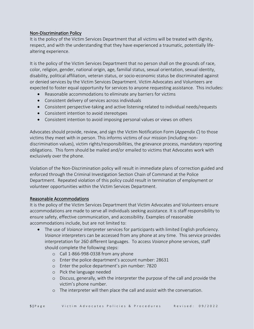# Non-Discrimination Policy

It is the policy of the Victim Services Department that all victims will be treated with dignity, respect, and with the understanding that they have experienced a traumatic, potentially lifealtering experience.

It is the policy of the Victim Services Department that no person shall on the grounds of race, color, religion, gender, national origin, age, familial status, sexual orientation, sexual identity, disability, political affiliation, veteran status, or socio-economic status be discriminated against or denied services by the Victim Services Department. Victim Advocates and Volunteers are expected to foster equal opportunity for services to anyone requesting assistance. This includes:

- Reasonable accommodations to eliminate any barriers for victims
- Consistent delivery of services across individuals
- Consistent perspective-taking and active listening related to individual needs/requests
- Consistent intention to avoid stereotypes
- Consistent intention to avoid imposing personal values or views on others

Advocates should provide, review, and sign the Victim Notification Form (*Appendix C*) to those victims they meet with in person. This informs victims of our mission (including nondiscrimination values), victim rights/responsibilities, the grievance process, mandatory reporting obligations. This form should be mailed and/or emailed to victims that Advocates work with exclusively over the phone.

Violation of the Non-Discrimination policy will result in immediate plans of correction guided and enforced through the Criminal Investigation Section Chain of Command at the Police Department. Repeated violation of this policy could result in termination of employment or volunteer opportunities within the Victim Services Department.

# Reasonable Accommodations

It is the policy of the Victim Services Department that Victim Advocates and Volunteers ensure accommodations are made to serve all individuals seeking assistance. It is staff responsibility to ensure safety, effective communication, and accessibility. Examples of reasonable accommodations include, but are not limited to:

- The use of *Voiance* interpreter services for participants with limited English proficiency. *Voiance* interpreters can be accessed from any phone at any time. This service provides interpretation for 260 different languages. To access *Voiance* phone services, staff should complete the following steps:
	- o Call 1-866-998-0338 from any phone
	- o Enter the police department's account number: 28631
	- o Enter the police department's pin number: 7820
	- o Pick the language needed
	- o Discuss, generally, with the interpreter the purpose of the call and provide the victim's phone number.
	- o The interpreter will then place the call and assist with the conversation.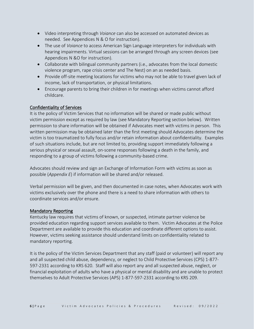- Video interpreting through *Voiance* can also be accessed on automated devices as needed. See Appendices N & O for instruction).
- The use of *Voiance* to access American Sign Language interpreters for individuals with hearing impairments. Virtual sessions can be arranged through any screen devices (see Appendices N &O for instruction).
- Collaborate with bilingual community partners (i.e., advocates from the local domestic violence program, rape crisis center and The Nest) on an as needed basis.
- Provide off-site meeting locations for victims who may not be able to travel given lack of income, lack of transportation, or physical limitations.
- Encourage parents to bring their children in for meetings when victims cannot afford childcare.

# Confidentiality of Services

It is the policy of Victim Services that no information will be shared or made public without victim permission except as required by law (see Mandatory Reporting section below). Written permission to share information will be obtained if Advocates meet with victims in person. This written permission may be obtained later than the first meeting should Advocates determine the victim is too traumatized to fully focus and/or retain information about confidentiality. Examples of such situations include, but are not limited to, providing support immediately following a serious physical or sexual assault, on-scene responses following a death in the family, and responding to a group of victims following a community-based crime.

Advocates should review and sign an Exchange of Information Form with victims as soon as possible (*Appendix E*) if information will be shared and/or released.

Verbal permission will be given, and then documented in case notes, when Advocates work with victims exclusively over the phone and there is a need to share information with others to coordinate services and/or ensure.

# Mandatory Reporting

Kentucky law requires that victims of known, or suspected, intimate partner violence be provided education regarding support services available to them. Victim Advocates at the Police Department are available to provide this education and coordinate different options to assist. However, victims seeking assistance should understand limits on confidentiality related to mandatory reporting.

It is the policy of the Victim Services Department that any staff (paid or volunteer) will report any and all suspected child abuse, dependency, or neglect to Child Protective Services (CPS) 1-877- 597-2331 according to KRS 620. Staff will also report any and all suspected abuse, neglect, or financial exploitation of adults who have a physical or mental disability and are unable to protect themselves to Adult Protective Services (APS) 1-877-597-2331 according to KRS 209.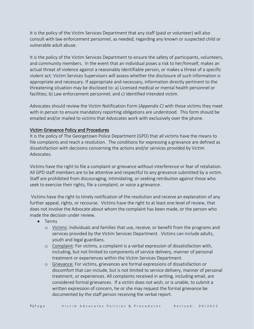It is the policy of the Victim Services Department that any staff (paid or volunteer) will also consult with law enforcement personnel, as needed, regarding any known or suspected child or vulnerable adult abuse.

It is the policy of the Victim Services Department to ensure the safety of participants, volunteers, and community members. In the event that an individual poses a risk to her/himself, makes an actual threat of violence against a reasonably identifiable person, or makes a threat of a specific violent act: Victim Services Supervisors will assess whether the disclosure of such information is appropriate and necessary. If appropriate and necessary, information directly pertinent to the threatening situation may be disclosed to: a) Licensed medical or mental health personnel or facilities; b) Law enforcement personnel; and c) Identified intended victim.

Advocates should review the Victim Notification Form (*Appendix C)* with those victims they meet with in person to ensure mandatory reporting obligations are understood. This form should be emailed and/or mailed to victims that Advocates work with exclusively over the phone.

# Victim Grievance Policy and Procedures

It is the policy of The Georgetown Police Department (GPD) that all victims have the means to file complaints and reach a resolution. The conditions for expressing a grievance are defined as dissatisfaction with decisions concerning the actions and/or services provided by Victim Advocates.

Victims have the right to file a complaint or grievance without interference or fear of retaliation. All GPD staff members are to be attentive and respectful to any grievance submitted by a victim. Staff are prohibited from discouraging, intimidating, or seeking retribution against those who seek to exercise their rights, file a complaint, or voice a grievance.

Victims have the right to timely notification of the resolution and receive an explanation of any further appeal, rights, or recourse. Victims have the right to at least one level of review, that does not involve the Advocate about whom the complaint has been made, or the person who made the decision under review.

- Terms
	- o Victims: Individuals and families that use, receive, or benefit from the programs and services provided by the Victim Services Department. Victims can include adults, youth and legal guardians.
	- o Complaint: For victims, a complaint is a verbal expression of dissatisfaction with, including, but not limited to components of service delivery, manner of personal treatment or experiences within the Victim Services Department.
	- o Grievance: For victims, grievances are formal expressions of dissatisfaction or discomfort that can include, but is not limited to service delivery, manner of personal treatment, or experiences. All complaints received in writing, including email, are considered formal grievances. If a victim does not wish, or is unable, to submit a written expression of concern, he or she may request the formal grievance be documented by the staff person receiving the verbal report.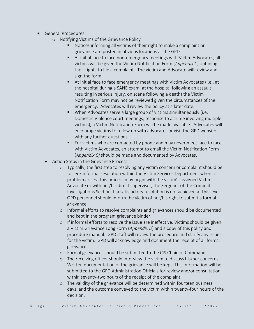- General Procedures:
	- o Notifying Victims of the Grievance Policy
		- Notices informing all victims of their right to make a complaint or grievance are posted in obvious locations at the GPD.
		- At initial face to face non-emergency meetings with Victim Advocates, all victims will be given the Victim Notification Form (*Appendix C*) outlining their rights to file a complaint. The victim and Advocate will review and sign the form.
		- At initial face to face emergency meetings with Victim Advocates (i.e., at the hospital during a SANE exam, at the hospital following an assault resulting in serious injury, on scene following a death) the Victim Notification Form may not be reviewed given the circumstances of the emergency. Advocates will review the policy at a later date.
		- When Advocates serve a large group of victims simultaneously (i.e. Domestic Violence court meetings, response to a crime involving multiple victims), a Victim Notification Form will be made available. Advocates will encourage victims to follow up with advocates or visit the GPD website with any further questions.
		- For victims who are contacted by phone and may never meet face to face with Victim Advocates, an attempt to email the Victim Notification Form (*Appendix C)* should be made and documented by Advocates.
	- Action Steps in the Grievance Process
		- o Typically, the first step to resolving any victim concern or complaint should be to seek informal resolution within the Victim Services Department when a problem arises. This process may begin with the victim's assigned Victim Advocate or with her/his direct supervisor, the Sergeant of the Criminal Investigations Section. If a satisfactory resolution is not achieved at this level, GPD personnel should inform the victim of her/his right to submit a formal grievance.
		- o Informal efforts to resolve complaints and grievances should be documented and kept in the program grievance binder.
		- o If informal efforts to resolve the issue are ineffective, Victims should be given a Victim Grievance Long Form (*Appendix D*) and a copy of this policy and procedure manual. GPD staff will review the procedure and clarify any issues for the victim. GPD will acknowledge and document the receipt of all formal grievances.
		- o Formal grievances should be submitted to the CIS Chain of Command.
		- o The receiving officer should interview the victim to discuss his/her concerns. Written documentation of the grievance will be kept. This information will be submitted to the GPD Administration Officials for review and/or consultation within seventy-two hours of the receipt of the complaint.
		- o The validity of the grievance will be determined within fourteen business days, and the outcome conveyed to the victim within twenty-four hours of the decision.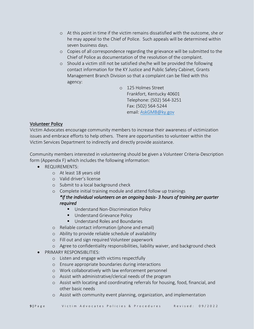- o At this point in time if the victim remains dissatisfied with the outcome, she or he may appeal to the Chief of Police. Such appeals will be determined within seven business days.
- o Copies of all correspondence regarding the grievance will be submitted to the Chief of Police as documentation of the resolution of the complaint.
- o Should a victim still not be satisfied she/he will be provided the following contact information for the KY Justice and Public Safety Cabinet, Grants Management Branch Division so that a complaint can be filed with this agency:
	- o 125 Holmes Street Frankfort, Kentucky 40601 Telephone: (502) 564-3251 Fax: (502) 564-5244 email: [AskGMB@ky.gov](mailto:AskGMB@ky.gov)

#### Volunteer Policy

Victim Advocates encourage community members to increase their awareness of victimization issues and embrace efforts to help others. There are opportunities to volunteer within the Victim Services Department to indirectly and directly provide assistance.

Community members interested in volunteering should be given a Volunteer Criteria-Description form (Appendix F) which includes the following information:

- REQUIREMENTS:
	- o At least 18 years old
	- o Valid driver's license
	- o Submit to a local background check

o Complete initial training module and attend follow up trainings

# *\*if the individual volunteers on an ongoing basis- 3 hours of training per quarter required*

- Understand Non-Discrimination Policy
- Understand Grievance Policy
- Understand Roles and Boundaries
- o Reliable contact information (phone and email)
- o Ability to provide reliable schedule of availability
- o Fill out and sign required Volunteer paperwork
- o Agree to confidentiality responsibilities, liability waiver, and background check
- PRIMARY RESPONSIBLITIES:
	- o Listen and engage with victims respectfully
	- o Ensure appropriate boundaries during interactions
	- o Work collaboratively with law enforcement personnel
	- o Assist with administrative/clerical needs of the program
	- o Assist with locating and coordinating referrals for housing, food, financial, and other basic needs
	- o Assist with community event planning, organization, and implementation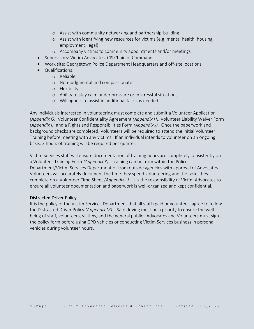- o Assist with community networking and partnership-building
- o Assist with identifying new resources for victims (e.g. mental health, housing, employment, legal)
- o Accompany victims to community appointments and/or meetings
- Supervisors: Victim Advocates, CIS Chain of Command
- Work site: Georgetown Police Department Headquarters and off-site locations
- Qualifications:
	- o Reliable
	- o Non-judgmental and compassionate
	- o Flexibility
	- o Ability to stay calm under pressure or in stressful situations
	- o Willingness to assist in additional tasks as needed

Any individuals interested in volunteering must complete and submit a Volunteer Application *(Appendix G),* Volunteer Confidentiality Agreement *(Appendix H),* Volunteer Liability Waiver Form *(Appendix I),* and a Rights and Responsibilities Form *(Appendix J).* Once the paperwork and background checks are completed, Volunteers will be required to attend the initial Volunteer Training before meeting with any victims. If an individual intends to volunteer on an ongoing basis, 3 hours of training will be required per quarter.

Victim Services staff will ensure documentation of training hours are completely consistently on a Volunteer Training Form *(Appendix K).* Training can be from within the Police Department/Victim Services Department or from outside agencies with approval of Advocates. Volunteers will accurately document the time they spend volunteering and the tasks they complete on a Volunteer Time Sheet *(Appendix L).* It is the responsibility of Victim Advocates to ensure all volunteer documentation and paperwork is well-organized and kept confidential.

# Distracted Driver Policy

It is the policy of the Victim Services Department that all staff (paid or volunteer) agree to follow the Distracted Driver Policy *(Appendix M).* Safe driving must be a priority to ensure the wellbeing of staff, volunteers, victims, and the general public. Advocates and Volunteers must sign the policy form before using GPD vehicles or conducting Victim Services business in personal vehicles during volunteer hours.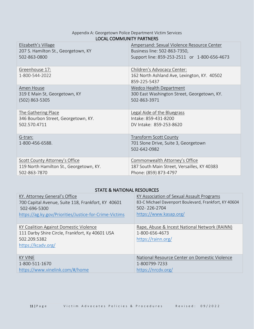# Appendix A: Georgetown Police Department Victim Services LOCAL COMMUNITY PARTNERS

| Elizabeth's Village                     | Ampersand: Sexual Violence Resource Center                                                 |
|-----------------------------------------|--------------------------------------------------------------------------------------------|
| 207 S. Hamilton St., Georgetown, KY     | Business line: 502-863-7350,                                                               |
| 502-863-0800                            | Support line: 859-253-2511 or 1-800-656-4673                                               |
| Greenhouse 17:<br>1-800-544-2022        | Children's Advocacy Center:<br>162 North Ashland Ave, Lexington, KY. 40502<br>859-225-5437 |
| Amen House                              | Wedco Health Department                                                                    |
| 319 E Main St, Georgetown, KY           | 300 East Washington Street, Georgetown, KY.                                                |
| $(502)$ 863-5305                        | 502-863-3971                                                                               |
| The Gathering Place                     | Legal Aide of the Bluegrass                                                                |
| 346 Bourbon Street, Georgetown, KY.     | Intake: 859-431-8200                                                                       |
| 502.570.4711                            | DV Intake: 859-253-8620                                                                    |
| G-tran:<br>1-800-456-6588.              | <b>Transform Scott County</b><br>701 Slone Drive, Suite 3, Georgetown<br>502-642-0982      |
| Scott County Attorney's Office          | Commonwealth Attorney's Office                                                             |
| 119 North Hamilton St., Georgetown, KY. | 187 South Main Street, Versailles, KY 40383                                                |
| 502-863-7870                            | Phone: (859) 873-4797                                                                      |

# STATE & NATIONAL RESOURCES

| KY. Attorney General's Office                                                                                                   | KY Association of Sexual Assault Programs                                             |
|---------------------------------------------------------------------------------------------------------------------------------|---------------------------------------------------------------------------------------|
| 700 Capital Avenue, Suite 118, Frankfort, KY 40601                                                                              | 83-C Michael Davenport Boulevard, Frankfort, KY 40604                                 |
| 502-696-5300                                                                                                                    | 502-226-2704                                                                          |
| https://ag.ky.gov/Priorities/Justice-for-Crime-Victims                                                                          | https://www.kasap.org/                                                                |
| KY Coalition Against Domestic Violence<br>111 Darby Shire Circle, Frankfort, Ky 40601 USA<br>502.209.5382<br>https://kcadv.org/ | Rape, Abuse & Incest National Network (RAINN)<br>1-800-656-4673<br>https://rainn.org/ |
| KY VINE                                                                                                                         | National Resource Center on Domestic Violence                                         |
| 1-800-511-1670                                                                                                                  | 1-800799-7233                                                                         |
| https://www.vinelink.com/#/home                                                                                                 | https://nrcdv.org/                                                                    |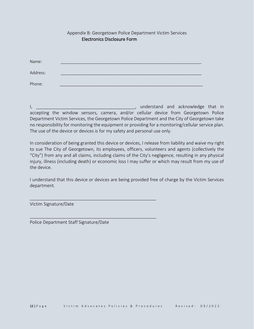|          | LICCU OTHCS DISCIOSULE TOITH |  |
|----------|------------------------------|--|
|          |                              |  |
| Name:    |                              |  |
| Address: |                              |  |
| Phone:   |                              |  |

Electronics Disclosure Form

I, **we can also a construct the construction** of the constantine of the construction of the construction of the construction of the construction of the construction of the construction of the construction of the constructi accepting the window sensors, camera, and/or cellular device from Georgetown Police Department Victim Services, the Georgetown Police Department and the City of Georgetown take no responsibility for monitoring the equipment or providing for a monitoring/cellular service plan. The use of the device or devices is for my safety and personal use only.

Appendix B: Georgetown Police Department Victim Services

In consideration of being granted this device or devices, I release from liability and waive my right to sue The City of Georgetown, its employees, officers, volunteers and agents (collectively the "City") from any and all claims, including claims of the City's negligence, resulting in any physical injury, illness (including death) or economic loss I may suffer or which may result from my use of the device.

I understand that this device or devices are being provided free of charge by the Victim Services department.

Victim Signature/Date

Police Department Staff Signature/Date

\_\_\_\_\_\_\_\_\_\_\_\_\_\_\_\_\_\_\_\_\_\_\_\_\_\_\_\_\_\_\_\_\_\_\_\_\_\_\_\_\_\_\_\_\_\_\_\_\_\_\_

\_\_\_\_\_\_\_\_\_\_\_\_\_\_\_\_\_\_\_\_\_\_\_\_\_\_\_\_\_\_\_\_\_\_\_\_\_\_\_\_\_\_\_\_\_\_\_\_\_\_\_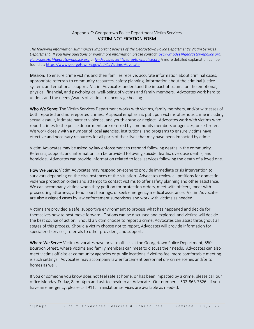#### Appendix C: Georgetown Police Department Victim Services VICTIM NOTIFICATION FORM

*The following information summarizes important policies of the Georgetown Police Department's Victim Services Department. If you have questions or want more information please contact[: becky.rhodes@georgetownpolice.org,](mailto:becky.rhodes@georgetownpolice.org) [victor.desoto@georgtownpolice.org](mailto:victor.desoto@georgtownpolice.org) or [lyndsay.deaver@georgetownpolice.org](mailto:lyndsay.deaver@georgetownpolice.org)* A more detailed explanation can be found at:<https://www.georgetownky.gov/2241/Victims-Advocate>

Mission: To ensure crime victims and their families receive: accurate information about criminal cases, appropriate referrals to community resources, safety planning, information about the criminal justice system, and emotional support. Victim Advocates understand the impact of trauma on the emotional, physical, financial, and psychological well-being of victims and family members. Advocates work hard to understand the needs /wants of victims to encourage healing.

Who We Serve: The Victim Services Department works with victims, family members, and/or witnesses of both reported and non-reported crimes. A special emphasis is put upon victims of serious crime including sexual assault, intimate partner violence, and youth abuse or neglect. Advocates work with victims who: report crimes to the police department, are referred by community members or agencies, or self-refer. We work closely with a number of local agencies, institutions, and programs to ensure victims have effective and necessary resources for all parts of their lives that may have been impacted by crime.

Victim Advocates may be asked by law enforcement to respond following deaths in the community. Referrals, support, and information can be provided following suicide deaths, overdose deaths, and homicide. Advocates can provide information related to local services following the death of a loved one.

How We Serve: Victim Advocates may respond on-scene to provide immediate crisis intervention to survivors depending on the circumstances of the situation. Advocates review all petitions for domestic violence protection orders and attempt to contact victims to offer safety planning and other assistance. We can accompany victims when they petition for protection orders, meet with officers, meet with prosecuting attorneys, attend court hearings, or seek emergency medical assistance. Victim Advocates are also assigned cases by law enforcement supervisors and work with victims as needed.

Victims are provided a safe, supportive environment to process what has happened and decide for themselves how to best move forward. Options can be discussed and explored, and victims will decide the best course of action. Should a victim choose to report a crime, Advocates can assist throughout all stages of this process. Should a victim choose not to report, Advocates will provide information for specialized services, referrals to other providers, and support.

Where We Serve: Victim Advocates have private offices at the Georgetown Police Department, 550 Bourbon Street, where victims and family members can meet to discuss their needs. Advocates can also meet victims off-site at community agencies or public locations if victims feel more comfortable meeting is such settings. Advocates may accompany law enforcement personnel on- crime scenes and/or to homes as well.

If you or someone you know does not feel safe at home, or has been impacted by a crime, please call our office Monday-Friday, 8am- 4pm and ask to speak to an Advocate. Our number is 502-863-7826. If you have an emergency, please call 911. Translation services are available as needed.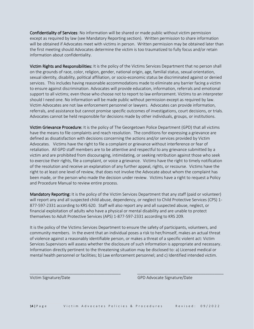Confidentiality of Services: No information will be shared or made public without victim permission except as required by law (see Mandatory Reporting section). Written permission to share information will be obtained if Advocates meet with victims in person. Written permission may be obtained later than the first meeting should Advocates determine the victim is too traumatized to fully focus and/or retain information about confidentiality.

Victim Rights and Responsibilities: It is the policy of the Victims Services Department that no person shall on the grounds of race, color, religion, gender, national origin, age, familial status, sexual orientation, sexual identity, disability, political affiliation, or socio-economic status be discriminated against or denied services. This includes having reasonable accommodations made to eliminate any barrier facing a victim to ensure against discrimination. Advocates will provide education, information, referrals and emotional support to all victims; even those who choose not to report to law enforcement. Victims to an interpreter should I need one. No information will be made public without permission except as required by law. Victim Advocates are not law enforcement personnel or lawyers. Advocates can provide information, referrals, and assistance but cannot promise specific outcomes of investigations, court decisions, or trials. Advocates cannot be held responsible for decisions made by other individuals, groups, or institutions.

Victim Grievance Procedure: It is the policy of The Georgetown Police Department (GPD) that all victims have the means to file complaints and reach resolution. The conditions for expressing a grievance are defined as dissatisfaction with decisions concerning the actions and/or services provided by Victim Advocates. Victims have the right to file a complaint or grievance without interference or fear of retaliation. All GPD staff members are to be attentive and respectful to any grievance submitted by a victim and are prohibited from discouraging, intimidating, or seeking retribution against those who seek to exercise their rights, file a complaint, or voice a grievance. Victims have the right to timely notification of the resolution and receive an explanation of any further appeal, rights, or recourse. Victims have the right to at least one level of review, that does not involve the Advocate about whom the complaint has been made, or the person who made the decision under review. Victims have a right to request a Policy and Procedure Manual to review entire process.

Mandatory Reporting: It is the policy of the Victim Services Department that any staff (paid or volunteer) will report any and all suspected child abuse, dependency, or neglect to Child Protective Services (CPS) 1- 877-597-2331 according to KRS 620. Staff will also report any and all suspected abuse, neglect, or financial exploitation of adults who have a physical or mental disability and are unable to protect themselves to Adult Protective Services (APS) 1-877-597-2331 according to KRS 209.

It is the policy of the Victims Services Department to ensure the safety of participants, volunteers, and community members. In the event that an individual poses a risk to her/himself, makes an actual threat of violence against a reasonably identifiable person, or makes a threat of a specific violent act: Victim Services Supervisors will assess whether the disclosure of such information is appropriate and necessary. Information directly pertinent to the threatening situation may be disclosed to: a) Licensed medical or mental health personnel or facilities; b) Law enforcement personnel; and c) Identified intended victim.

\_\_\_\_\_\_\_\_\_\_\_\_\_\_\_\_\_\_\_\_\_\_\_\_\_\_\_\_\_\_\_\_\_\_\_\_\_\_\_\_ \_\_\_\_\_\_\_\_\_\_\_\_\_\_\_\_\_\_\_\_\_\_\_\_\_\_\_\_\_\_\_\_\_\_\_\_\_\_

Victim Signature/Date GPD Advocate Signature/Date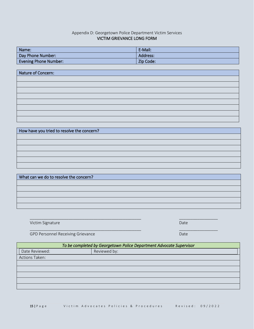#### Appendix D: Georgetown Police Department Victim Services VICTIM GRIEVANCE LONG FORM

| Name:                        | E-Mail:   |
|------------------------------|-----------|
| Day Phone Number:            | Address:  |
| <b>Evening Phone Number:</b> | Zip Code: |

| Nature of Concern: |
|--------------------|
|                    |
|                    |
|                    |
|                    |
|                    |
|                    |
|                    |
|                    |

How have you tried to resolve the concern?

| What can we do to resolve the concern? |
|----------------------------------------|
|                                        |
|                                        |
|                                        |
|                                        |
|                                        |

\_\_\_\_\_\_\_\_\_\_\_\_\_\_\_\_\_\_\_\_\_\_\_\_\_\_\_\_\_\_\_\_\_\_\_\_\_\_\_\_\_\_\_\_\_\_\_\_\_ \_\_\_\_\_\_\_\_\_\_\_\_\_\_\_\_\_

Victim Signature Date Communication of the Communication of the Communication of the Date

\_\_\_\_\_\_\_\_\_\_\_\_\_\_\_\_\_\_\_\_\_\_\_\_\_\_\_\_\_\_\_\_\_\_\_\_\_\_\_\_\_\_\_\_\_\_\_\_\_ \_\_\_\_\_\_\_\_\_\_\_\_\_\_\_\_\_

GPD Personnel Receiving Grievance Date Date Date Date Date

|                | To be completed by Georgetown Police Department Advocate Supervisor |
|----------------|---------------------------------------------------------------------|
| Date Reviewed: | Reviewed by:                                                        |
| Actions Taken: |                                                                     |
|                |                                                                     |
|                |                                                                     |
|                |                                                                     |
|                |                                                                     |
|                |                                                                     |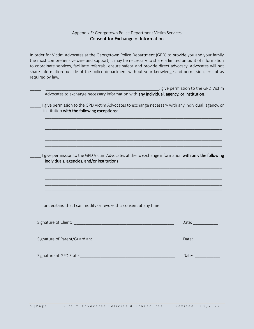#### Appendix E: Georgetown Police Department Victim Services Consent for Exchange of Information

In order for Victim Advocates at the Georgetown Police Department (GPD) to provide you and your family the most comprehensive care and support, it may be necessary to share a limited amount of information to coordinate services, facilitate referrals, ensure safety, and provide direct advocacy. Advocates will not share information outside of the police department without your knowledge and permission, except as required by law.

| <i>Composition 1 alvertiance in the GPD Victim dvocates to exchange necessary information with <b>any individual, agency, or institution</b>.</i> |                                                                                                                                                                                                                                |
|---------------------------------------------------------------------------------------------------------------------------------------------------|--------------------------------------------------------------------------------------------------------------------------------------------------------------------------------------------------------------------------------|
|                                                                                                                                                   |                                                                                                                                                                                                                                |
| I give permission to the GPD Victim Advocates to exchange necessary with any individual, agency, or<br>institution with the following exceptions: |                                                                                                                                                                                                                                |
|                                                                                                                                                   |                                                                                                                                                                                                                                |
|                                                                                                                                                   |                                                                                                                                                                                                                                |
| I give permission to the GPD Victim Advocates at the to exchange information with only the following                                              |                                                                                                                                                                                                                                |
|                                                                                                                                                   |                                                                                                                                                                                                                                |
|                                                                                                                                                   |                                                                                                                                                                                                                                |
| I understand that I can modify or revoke this consent at any time.                                                                                |                                                                                                                                                                                                                                |
|                                                                                                                                                   | Date: and the set of the set of the set of the set of the set of the set of the set of the set of the set of the set of the set of the set of the set of the set of the set of the set of the set of the set of the set of the |
| Signature of Parent/Guardian: Manual Account of Parents and Account of Parents and Account of the Account of the                                  | Date: and the set of the set of the set of the set of the set of the set of the set of the set of the set of the set of the set of the set of the set of the set of the set of the set of the set of the set of the set of the |
| Signature of GPD Staff:                                                                                                                           | Date:                                                                                                                                                                                                                          |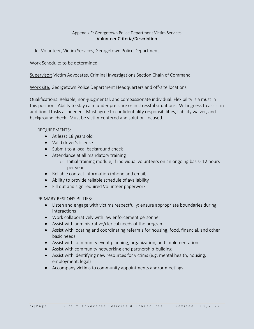#### Appendix F: Georgetown Police Department Victim Services Volunteer Criteria/Description

Title: Volunteer, Victim Services, Georgetown Police Department

Work Schedule: to be determined

Supervisor: Victim Advocates, Criminal Investigations Section Chain of Command

Work site: Georgetown Police Department Headquarters and off-site locations

Qualifications: Reliable, non-judgmental, and compassionate individual. Flexibility is a must in this position. Ability to stay calm under pressure or in stressful situations. Willingness to assist in additional tasks as needed. Must agree to confidentiality responsibilities, liability waiver, and background check. Must be victim-centered and solution-focused.

#### REQUIREMENTS:

- At least 18 years old
- Valid driver's license
- Submit to a local background check
- Attendance at all mandatory training
	- o Initial training module; if individual volunteers on an ongoing basis- 12 hours per year
- Reliable contact information (phone and email)
- Ability to provide reliable schedule of availability
- Fill out and sign required Volunteer paperwork

PRIMARY RESPONSIBLITIES:

- Listen and engage with victims respectfully; ensure appropriate boundaries during interactions
- Work collaboratively with law enforcement personnel
- Assist with administrative/clerical needs of the program
- Assist with locating and coordinating referrals for housing, food, financial, and other basic needs
- Assist with community event planning, organization, and implementation
- Assist with community networking and partnership-building
- Assist with identifying new resources for victims (e.g. mental health, housing, employment, legal)
- Accompany victims to community appointments and/or meetings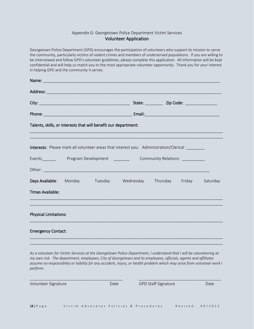#### Appendix G: Georgetown Police Department Victim Services Volunteer Application

Georgetown Police Department (GPD) encourages the participation of volunteers who support its mission to serve the community, particularly victims of violent crimes and members of underserved populations. If you are willing to be interviewed and follow GPD's volunteer guidelines, please complete this application. All information will be kept confidential and will help us match you to the most appropriate volunteer opportunity. Thank you for your interest in helping GPD and the community it serves.

| Name: Name and the contract of the contract of the contract of the contract of the contract of the contract of |  |                                                                                              |                                                   |  |
|----------------------------------------------------------------------------------------------------------------|--|----------------------------------------------------------------------------------------------|---------------------------------------------------|--|
|                                                                                                                |  |                                                                                              |                                                   |  |
|                                                                                                                |  |                                                                                              | State: _____________ Zip Code: __________________ |  |
|                                                                                                                |  |                                                                                              |                                                   |  |
| Talents, skills, or interests that will benefit our department:                                                |  |                                                                                              |                                                   |  |
|                                                                                                                |  |                                                                                              |                                                   |  |
|                                                                                                                |  | <b>Interests:</b> Please mark all volunteer areas that interest you: Administration/Clerical |                                                   |  |
|                                                                                                                |  |                                                                                              |                                                   |  |
|                                                                                                                |  |                                                                                              |                                                   |  |
|                                                                                                                |  | Days Available: Monday Tuesday Wednesday Thursday Friday Saturday                            |                                                   |  |
| Times Available:                                                                                               |  |                                                                                              |                                                   |  |
|                                                                                                                |  |                                                                                              |                                                   |  |
| <b>Physical Limitations:</b>                                                                                   |  |                                                                                              |                                                   |  |
| <b>Emergency Contact:</b>                                                                                      |  |                                                                                              |                                                   |  |

*As a volunteer for Victim Services at the Georgetown Police Department, I understand that I will be volunteering at my own risk. The department, employees, City of Georgetown and its employees, officials, agents and affiliates assume no responsibility or liability for any accident, injury, or health problem which may arise from volunteer work I perform.*

\_\_\_\_\_\_\_\_\_\_\_\_\_\_\_\_\_\_\_\_\_\_\_\_\_\_\_\_\_\_\_\_\_\_\_\_\_\_\_\_\_\_\_\_\_ \_\_\_\_\_\_\_\_\_\_\_\_\_\_\_\_\_\_\_\_\_\_\_\_\_\_\_\_\_\_\_\_\_\_\_\_\_\_\_\_

\_\_\_\_\_\_\_\_\_\_\_\_\_\_\_\_\_\_\_\_\_\_\_\_\_\_\_\_\_\_\_\_\_\_\_\_\_\_\_\_\_\_\_\_\_\_\_\_\_\_\_\_\_\_\_\_\_\_\_\_\_\_\_\_\_\_\_\_\_\_\_\_\_\_\_\_\_\_\_\_\_\_\_\_\_

Volunteer Signature and Date GPD Staff Signature Date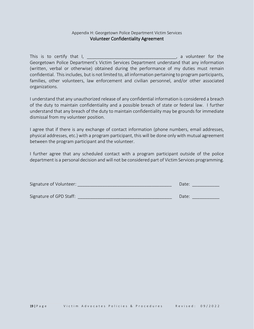#### Appendix H: Georgetown Police Department Victim Services Volunteer Confidentiality Agreement

This is to certify that I, the same of the state of the state of the state of the state of the state of the state of the state of the state of the state of the state of the state of the state of the state of the state of t Georgetown Police Department's Victim Services Department understand that any information (written, verbal or otherwise) obtained during the performance of my duties must remain confidential. This includes, but is not limited to, all information pertaining to program participants, families, other volunteers, law enforcement and civilian personnel, and/or other associated organizations.

I understand that any unauthorized release of any confidential information is considered a breach of the duty to maintain confidentiality and a possible breach of state or federal law. I further understand that any breach of the duty to maintain confidentiality may be grounds for immediate dismissal from my volunteer position.

I agree that if there is any exchange of contact information (phone numbers, email addresses, physical addresses, etc.) with a program participant, this will be done only with mutual agreement between the program participant and the volunteer.

I further agree that any scheduled contact with a program participant outside of the police department is a personal decision and will not be considered part of Victim Services programming.

| Signature of Volunteer: | Date: |
|-------------------------|-------|
| Signature of GPD Staff: | Date: |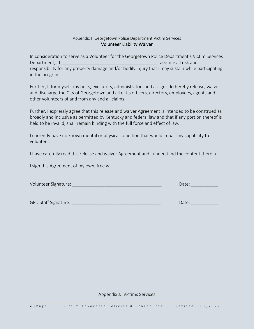#### Appendix I: Georgetown Police Department Victim Services Volunteer Liability Waiver

In consideration to serve as a Volunteer for the Georgetown Police Department's Victim Services Department, IQU and the set of the set of the set of the set of the set of the set of the set of the set of the set of the set of the set of the set of the set of the set of the set of the set of the set of the set of the responsibility for any property damage and/or bodily injury that I may sustain while participating in the program.

Further, I, for myself, my heirs, executors, administrators and assigns do hereby release, waive and discharge the City of Georgetown and all of its officers, directors, employees, agents and other volunteers of and from any and all claims.

Further, I expressly agree that this release and waiver Agreement is intended to be construed as broadly and inclusive as permitted by Kentucky and federal law and that if any portion thereof is held to be invalid, shall remain binding with the full force and effect of law.

I currently have no known mental or physical condition that would impair my capability to volunteer.

I have carefully read this release and waiver Agreement and I understand the content therein.

I sign this Agreement of my own, free will.

| Volunteer Signature:<br>Jdle. |
|-------------------------------|
|-------------------------------|

GPD Staff Signature: \_\_\_\_\_\_\_\_\_\_\_\_\_\_\_\_\_\_\_\_\_\_\_\_\_\_\_\_\_\_\_\_\_\_\_\_ Date: \_\_\_\_\_\_\_\_\_\_\_

Appendix J: Victims Services

20 | Page Victim Advocates Policies & Procedures Revised: 09/2022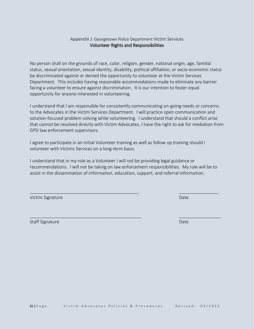#### Appendix J: Georgetown Police Department Victim Services Volunteer Rights and Responsibilities

No person shall on the grounds of race, color, religion, gender, national origin, age, familial status, sexual orientation, sexual identity, disability, political affiliation, or socio-economic status be discriminated against or denied the opportunity to volunteer at the Victim Services Department. This includes having reasonable accommodations made to eliminate any barrier facing a volunteer to ensure against discrimination. It is our intention to foster equal opportunity for anyone interested in volunteering.

I understand that I am responsible for consistently communicating on-going needs or concerns to the Advocates in the Victim Services Department. I will practice open communication and solution-focused problem-solving while volunteering. I understand that should a conflict arise that cannot be resolved directly with Victim Advocates, I have the right to ask for mediation from GPD law enforcement supervisors.

I agree to participate in an initial Volunteer training as well as follow up training should I volunteer with Victims Services on a long-term basis.

I understand that in my role as a Volunteer I will not be providing legal guidance or recommendations. I will not be taking on law enforcement responsibilities. My role will be to assist in the dissemination of information, education, support, and referral information.

 $\overline{\phantom{a}}$  , and the contribution of the contribution of the contribution of the contribution of  $\overline{\phantom{a}}$  , and  $\overline{\phantom{a}}$ 

\_\_\_\_\_\_\_\_\_\_\_\_\_\_\_\_\_\_\_\_\_\_\_\_\_\_\_\_\_\_\_\_\_\_\_\_\_\_\_\_\_\_\_\_\_ \_\_\_\_\_\_\_\_\_\_\_\_\_\_\_\_\_

| Victim Signature | Date |
|------------------|------|
|                  |      |

Staff Signature Date Date Communication of the Communication of the Date Date Date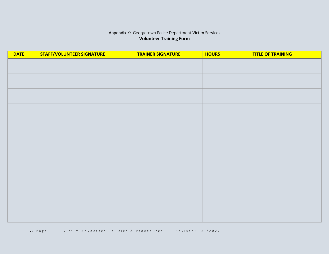# Appendix K: Georgetown Police Department Victim Services **Volunteer Training Form**

| <b>DATE</b> | <b>STAFF/VOLUNTEER SIGNATURE</b> | <b>TRAINER SIGNATURE</b> | <b>HOURS</b> | <b>TITLE OF TRAINING</b> |
|-------------|----------------------------------|--------------------------|--------------|--------------------------|
|             |                                  |                          |              |                          |
|             |                                  |                          |              |                          |
|             |                                  |                          |              |                          |
|             |                                  |                          |              |                          |
|             |                                  |                          |              |                          |
|             |                                  |                          |              |                          |
|             |                                  |                          |              |                          |
|             |                                  |                          |              |                          |
|             |                                  |                          |              |                          |
|             |                                  |                          |              |                          |
|             |                                  |                          |              |                          |
|             |                                  |                          |              |                          |
|             |                                  |                          |              |                          |
|             |                                  |                          |              |                          |
|             |                                  |                          |              |                          |
|             |                                  |                          |              |                          |
|             |                                  |                          |              |                          |
|             |                                  |                          |              |                          |
|             |                                  |                          |              |                          |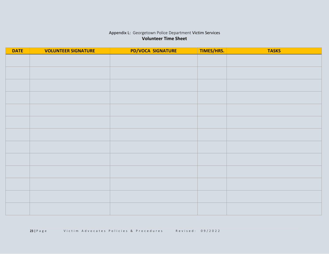# Appendix L: Georgetown Police Department Victim Services **Volunteer Time Sheet**

| <b>DATE</b> | <b>VOLUNTEER SIGNATURE</b> | PD/VOCA SIGNATURE | TIMES/HRS. | <b>TASKS</b> |
|-------------|----------------------------|-------------------|------------|--------------|
|             |                            |                   |            |              |
|             |                            |                   |            |              |
|             |                            |                   |            |              |
|             |                            |                   |            |              |
|             |                            |                   |            |              |
|             |                            |                   |            |              |
|             |                            |                   |            |              |
|             |                            |                   |            |              |
|             |                            |                   |            |              |
|             |                            |                   |            |              |
|             |                            |                   |            |              |
|             |                            |                   |            |              |
|             |                            |                   |            |              |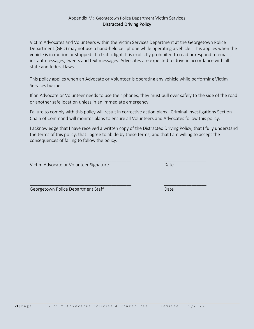#### Appendix M: Georgetown Police Department Victim Services Distracted Driving Policy

Victim Advocates and Volunteers within the Victim Services Department at the Georgetown Police Department (GPD) may not use a hand-held cell phone while operating a vehicle. This applies when the vehicle is in motion or stopped at a traffic light. It is explicitly prohibited to read or respond to emails, instant messages, tweets and text messages. Advocates are expected to drive in accordance with all state and federal laws.

This policy applies when an Advocate or Volunteer is operating any vehicle while performing Victim Services business.

If an Advocate or Volunteer needs to use their phones, they must pull over safely to the side of the road or another safe location unless in an immediate emergency.

Failure to comply with this policy will result in corrective action plans. Criminal Investigations Section Chain of Command will monitor plans to ensure all Volunteers and Advocates follow this policy.

I acknowledge that I have received a written copy of the Distracted Driving Policy, that I fully understand the terms of this policy, that I agree to abide by these terms, and that I am willing to accept the consequences of failing to follow the policy.

\_\_\_\_\_\_\_\_\_\_\_\_\_\_\_\_\_\_\_\_\_\_\_\_\_\_\_\_\_\_\_\_\_\_\_\_\_\_\_\_\_ \_\_\_\_\_\_\_\_\_\_\_\_\_\_\_\_\_

Victim Advocate or Volunteer Signature Date Date

Georgetown Police Department Staff Date Date Date

\_\_\_\_\_\_\_\_\_\_\_\_\_\_\_\_\_\_\_\_\_\_\_\_\_\_\_\_\_\_\_\_\_\_\_\_\_\_\_\_\_ \_\_\_\_\_\_\_\_\_\_\_\_\_\_\_\_\_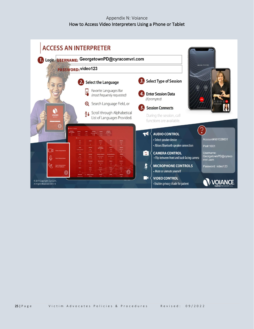# Appendix N: Voiance How to Access Video Interpreters Using a Phone or Tablet